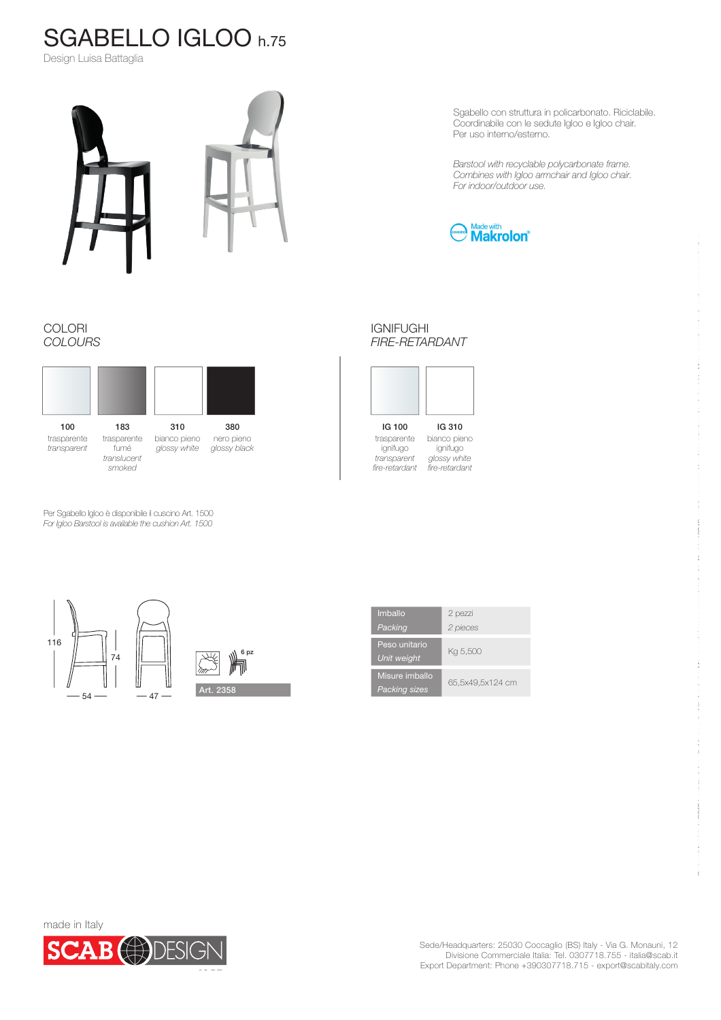## SGABELLO IGLOO h.75

Design Luisa Battaglia



Sgabello con struttura in policarbonato. Riciclabile. Coordinabile con le sedute Igloo e Igloo chair. Per uso interno/esterno.

*Barstool with recyclable polycarbonate frame. Combines with Igloo armchair and Igloo chair. For indoor/outdoor use.*



## COLORI *COLOURS*



Per Sgabello Igloo è disponibile il cuscino Art. 1500 *For Igloo Barstool is available the cushion Art. 1500*



IGNIFUGHI *FIRE-RETARDANT*

IG 100 IG 310 trasparente ignifugo *transparent fire-retardant* bianco pieno ignifugo *glossy white fire-retardant*

116 6 pz74 叭 Art. 2358  $54 - 47$ 

| Imballo<br>Packing                     | 2 pezzi<br>2 pieces |
|----------------------------------------|---------------------|
| Peso unitario<br><b>Unit weight</b>    | Kg 5,500            |
| Misure imballo<br><b>Packing sizes</b> | 65,5x49,5x124 cm    |



 $\mathbf{C} = \mathbf{C} = \mathbf{C} + \mathbf{C} + \mathbf{C} + \mathbf{C} + \mathbf{C} + \mathbf{C} + \mathbf{C} + \mathbf{C} + \mathbf{C} + \mathbf{C} + \mathbf{C} + \mathbf{C} + \mathbf{C} + \mathbf{C} + \mathbf{C} + \mathbf{C} + \mathbf{C} + \mathbf{C} + \mathbf{C} + \mathbf{C} + \mathbf{C} + \mathbf{C} + \mathbf{C} + \mathbf{C} + \mathbf{C} + \mathbf{C} + \mathbf{C} + \mathbf{C} + \mathbf{C} + \mathbf$